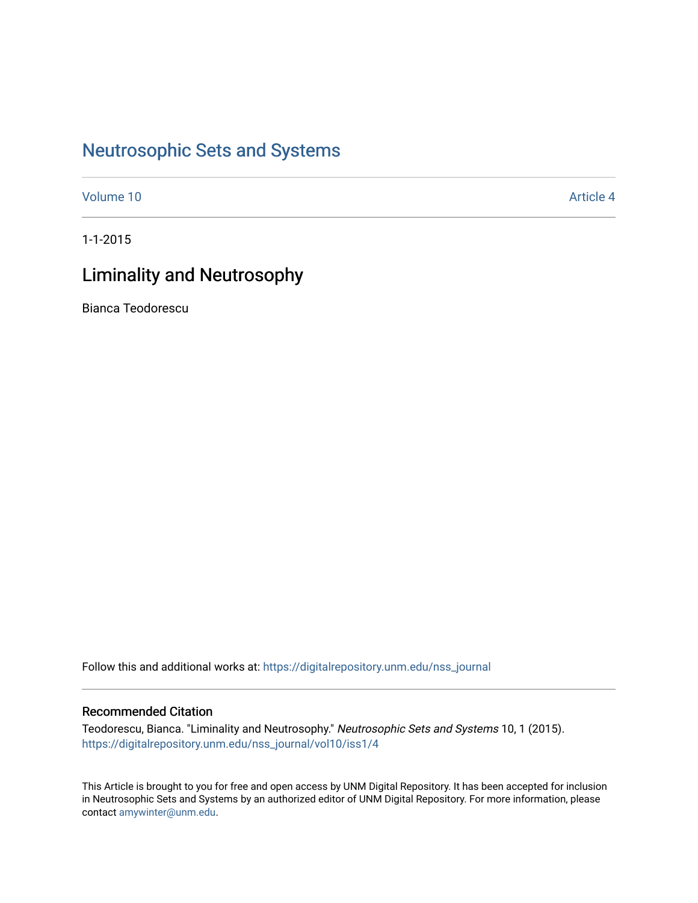## [Neutrosophic Sets and Systems](https://digitalrepository.unm.edu/nss_journal)

[Volume 10](https://digitalrepository.unm.edu/nss_journal/vol10) [Article 4](https://digitalrepository.unm.edu/nss_journal/vol10/iss1/4) 

1-1-2015

## Liminality and Neutrosophy

Bianca Teodorescu

Follow this and additional works at: [https://digitalrepository.unm.edu/nss\\_journal](https://digitalrepository.unm.edu/nss_journal?utm_source=digitalrepository.unm.edu%2Fnss_journal%2Fvol10%2Fiss1%2F4&utm_medium=PDF&utm_campaign=PDFCoverPages) 

## Recommended Citation

Teodorescu, Bianca. "Liminality and Neutrosophy." Neutrosophic Sets and Systems 10, 1 (2015). [https://digitalrepository.unm.edu/nss\\_journal/vol10/iss1/4](https://digitalrepository.unm.edu/nss_journal/vol10/iss1/4?utm_source=digitalrepository.unm.edu%2Fnss_journal%2Fvol10%2Fiss1%2F4&utm_medium=PDF&utm_campaign=PDFCoverPages)

This Article is brought to you for free and open access by UNM Digital Repository. It has been accepted for inclusion in Neutrosophic Sets and Systems by an authorized editor of UNM Digital Repository. For more information, please contact [amywinter@unm.edu](mailto:amywinter@unm.edu).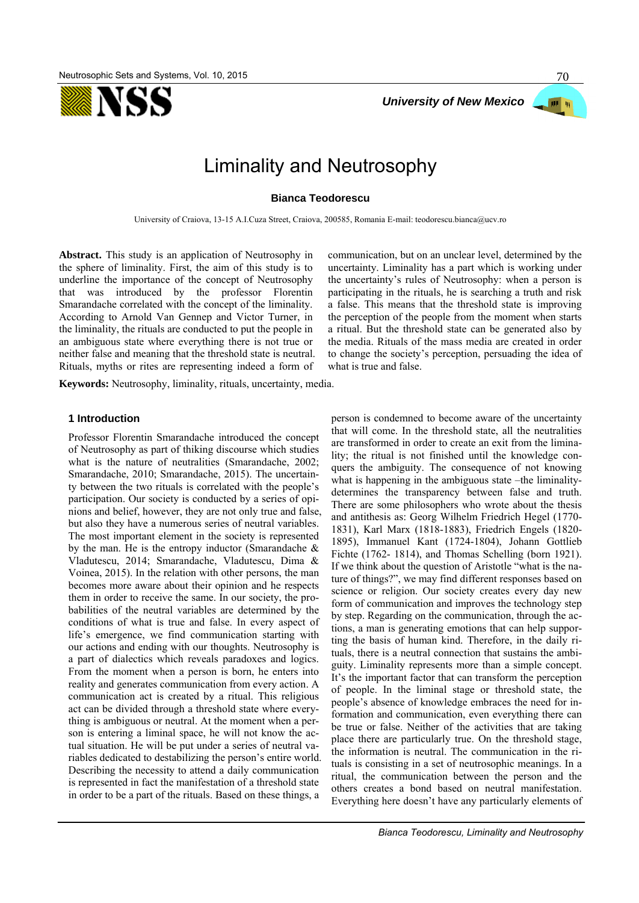



# Liminality and Neutrosophy

### **Bianca Teodorescu**

University of Craiova, 13-15 A.I.Cuza Street, Craiova, 200585, Romania E-mail: teodorescu.bianca@ucv.ro

**Abstract.** This study is an application of Neutrosophy in the sphere of liminality. First, the aim of this study is to underline the importance of the concept of Neutrosophy that was introduced by the professor Florentin Smarandache correlated with the concept of the liminality. According to Arnold Van Gennep and Victor Turner, in the liminality, the rituals are conducted to put the people in an ambiguous state where everything there is not true or neither false and meaning that the threshold state is neutral. Rituals, myths or rites are representing indeed a form of

**Keywords:** Neutrosophy, liminality, rituals, uncertainty, media.

### **1 Introduction**

Professor Florentin Smarandache introduced the concept of Neutrosophy as part of thiking discourse which studies what is the nature of neutralities (Smarandache, 2002; Smarandache, 2010; Smarandache, 2015). The uncertainty between the two rituals is correlated with the people's participation. Our society is conducted by a series of opinions and belief, however, they are not only true and false, but also they have a numerous series of neutral variables. The most important element in the society is represented by the man. He is the entropy inductor (Smarandache & Vladutescu, 2014; Smarandache, Vladutescu, Dima & Voinea, 2015). In the relation with other persons, the man becomes more aware about their opinion and he respects them in order to receive the same. In our society, the probabilities of the neutral variables are determined by the conditions of what is true and false. In every aspect of life's emergence, we find communication starting with our actions and ending with our thoughts. Neutrosophy is a part of dialectics which reveals paradoxes and logics. From the moment when a person is born, he enters into reality and generates communication from every action. A communication act is created by a ritual. This religious act can be divided through a threshold state where everything is ambiguous or neutral. At the moment when a person is entering a liminal space, he will not know the actual situation. He will be put under a series of neutral variables dedicated to destabilizing the person's entire world. Describing the necessity to attend a daily communication is represented in fact the manifestation of a threshold state in order to be a part of the rituals. Based on these things, a

communication, but on an unclear level, determined by the uncertainty. Liminality has a part which is working under the uncertainty's rules of Neutrosophy: when a person is participating in the rituals, he is searching a truth and risk a false. This means that the threshold state is improving the perception of the people from the moment when starts a ritual. But the threshold state can be generated also by the media. Rituals of the mass media are created in order to change the society's perception, persuading the idea of what is true and false.

person is condemned to become aware of the uncertainty that will come. In the threshold state, all the neutralities are transformed in order to create an exit from the liminality; the ritual is not finished until the knowledge conquers the ambiguity. The consequence of not knowing what is happening in the ambiguous state –the liminalitydetermines the transparency between false and truth. There are some philosophers who wrote about the thesis and antithesis as: Georg Wilhelm Friedrich Hegel (1770- 1831), Karl Marx (1818-1883), Friedrich Engels (1820- 1895), Immanuel Kant (1724-1804), Johann Gottlieb Fichte (1762- 1814), and Thomas Schelling (born 1921). If we think about the question of Aristotle "what is the nature of things?", we may find different responses based on science or religion. Our society creates every day new form of communication and improves the technology step by step. Regarding on the communication, through the actions, a man is generating emotions that can help supporting the basis of human kind. Therefore, in the daily rituals, there is a neutral connection that sustains the ambiguity. Liminality represents more than a simple concept. It's the important factor that can transform the perception of people. In the liminal stage or threshold state, the people's absence of knowledge embraces the need for information and communication, even everything there can be true or false. Neither of the activities that are taking place there are particularly true. On the threshold stage, the information is neutral. The communication in the rituals is consisting in a set of neutrosophic meanings. In a ritual, the communication between the person and the others creates a bond based on neutral manifestation. Everything here doesn't have any particularly elements of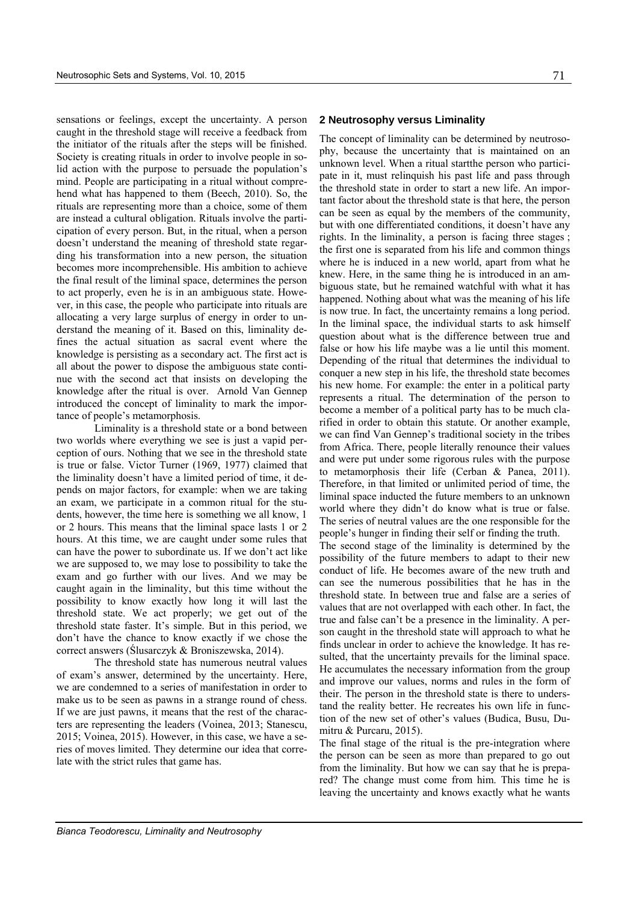sensations or feelings, except the uncertainty. A person caught in the threshold stage will receive a feedback from the initiator of the rituals after the steps will be finished. Society is creating rituals in order to involve people in solid action with the purpose to persuade the population's mind. People are participating in a ritual without comprehend what has happened to them (Beech, 2010). So, the rituals are representing more than a choice, some of them are instead a cultural obligation. Rituals involve the participation of every person. But, in the ritual, when a person doesn't understand the meaning of threshold state regarding his transformation into a new person, the situation becomes more incomprehensible. His ambition to achieve the final result of the liminal space, determines the person to act properly, even he is in an ambiguous state. However, in this case, the people who participate into rituals are allocating a very large surplus of energy in order to understand the meaning of it. Based on this, liminality defines the actual situation as sacral event where the knowledge is persisting as a secondary act. The first act is all about the power to dispose the ambiguous state continue with the second act that insists on developing the knowledge after the ritual is over. Arnold Van Gennep introduced the concept of liminality to mark the importance of people's metamorphosis.

Liminality is a threshold state or a bond between two worlds where everything we see is just a vapid perception of ours. Nothing that we see in the threshold state is true or false. Victor Turner (1969, 1977) claimed that the liminality doesn't have a limited period of time, it depends on major factors, for example: when we are taking an exam, we participate in a common ritual for the students, however, the time here is something we all know, 1 or 2 hours. This means that the liminal space lasts 1 or 2 hours. At this time, we are caught under some rules that can have the power to subordinate us. If we don't act like we are supposed to, we may lose to possibility to take the exam and go further with our lives. And we may be caught again in the liminality, but this time without the possibility to know exactly how long it will last the threshold state. We act properly; we get out of the threshold state faster. It's simple. But in this period, we don't have the chance to know exactly if we chose the correct answers (Ślusarczyk & Broniszewska, 2014).

The threshold state has numerous neutral values of exam's answer, determined by the uncertainty. Here, we are condemned to a series of manifestation in order to make us to be seen as pawns in a strange round of chess. If we are just pawns, it means that the rest of the characters are representing the leaders (Voinea, 2013; Stanescu, 2015; Voinea, 2015). However, in this case, we have a series of moves limited. They determine our idea that correlate with the strict rules that game has.

### **2 Neutrosophy versus Liminality**

The concept of liminality can be determined by neutrosophy, because the uncertainty that is maintained on an unknown level. When a ritual startthe person who participate in it, must relinquish his past life and pass through the threshold state in order to start a new life. An important factor about the threshold state is that here, the person can be seen as equal by the members of the community, but with one differentiated conditions, it doesn't have any rights. In the liminality, a person is facing three stages ; the first one is separated from his life and common things where he is induced in a new world, apart from what he knew. Here, in the same thing he is introduced in an ambiguous state, but he remained watchful with what it has happened. Nothing about what was the meaning of his life is now true. In fact, the uncertainty remains a long period. In the liminal space, the individual starts to ask himself question about what is the difference between true and false or how his life maybe was a lie until this moment. Depending of the ritual that determines the individual to conquer a new step in his life, the threshold state becomes his new home. For example: the enter in a political party represents a ritual. The determination of the person to become a member of a political party has to be much clarified in order to obtain this statute. Or another example, we can find Van Gennep's traditional society in the tribes from Africa. There, people literally renounce their values and were put under some rigorous rules with the purpose to metamorphosis their life (Cerban & Panea, 2011). Therefore, in that limited or unlimited period of time, the liminal space inducted the future members to an unknown world where they didn't do know what is true or false. The series of neutral values are the one responsible for the people's hunger in finding their self or finding the truth. The second stage of the liminality is determined by the

possibility of the future members to adapt to their new conduct of life. He becomes aware of the new truth and can see the numerous possibilities that he has in the threshold state. In between true and false are a series of values that are not overlapped with each other. In fact, the true and false can't be a presence in the liminality. A person caught in the threshold state will approach to what he finds unclear in order to achieve the knowledge. It has resulted, that the uncertainty prevails for the liminal space. He accumulates the necessary information from the group and improve our values, norms and rules in the form of their. The person in the threshold state is there to understand the reality better. He recreates his own life in function of the new set of other's values (Budica, Busu, Dumitru & Purcaru, 2015).

The final stage of the ritual is the pre-integration where the person can be seen as more than prepared to go out from the liminality. But how we can say that he is prepared? The change must come from him. This time he is leaving the uncertainty and knows exactly what he wants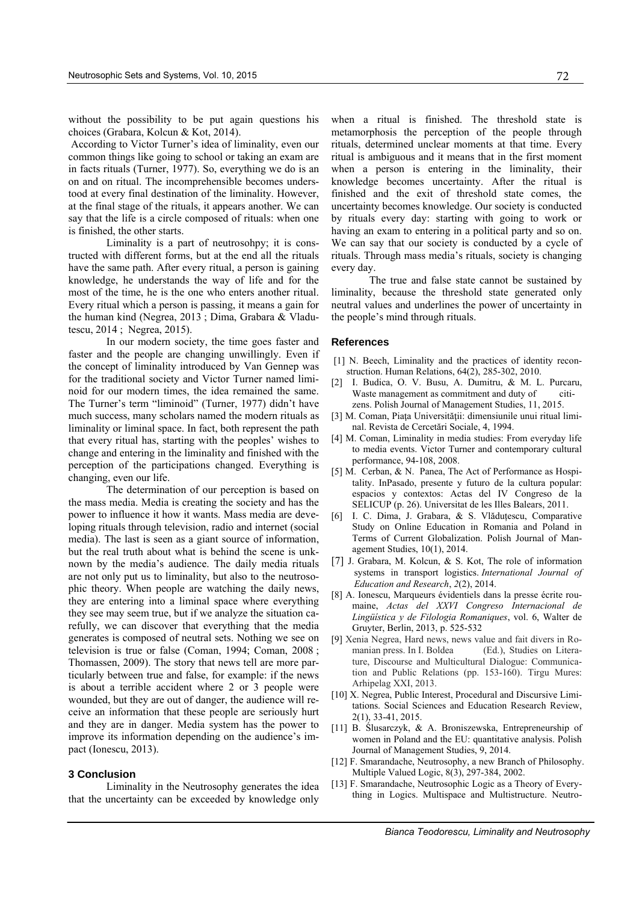without the possibility to be put again questions his choices (Grabara, Kolcun & Kot, 2014).

 According to Victor Turner's idea of liminality, even our common things like going to school or taking an exam are in facts rituals (Turner, 1977). So, everything we do is an on and on ritual. The incomprehensible becomes understood at every final destination of the liminality. However, at the final stage of the rituals, it appears another. We can say that the life is a circle composed of rituals: when one is finished, the other starts.

Liminality is a part of neutrosohpy; it is constructed with different forms, but at the end all the rituals have the same path. After every ritual, a person is gaining knowledge, he understands the way of life and for the most of the time, he is the one who enters another ritual. Every ritual which a person is passing, it means a gain for the human kind (Negrea, 2013 ; Dima, Grabara & Vladutescu, 2014 ; Negrea, 2015).

In our modern society, the time goes faster and faster and the people are changing unwillingly. Even if the concept of liminality introduced by Van Gennep was for the traditional society and Victor Turner named liminoid for our modern times, the idea remained the same. The Turner's term "liminoid" (Turner, 1977) didn't have much success, many scholars named the modern rituals as liminality or liminal space. In fact, both represent the path that every ritual has, starting with the peoples' wishes to change and entering in the liminality and finished with the perception of the participations changed. Everything is changing, even our life.

The determination of our perception is based on the mass media. Media is creating the society and has the power to influence it how it wants. Mass media are developing rituals through television, radio and internet (social media). The last is seen as a giant source of information, but the real truth about what is behind the scene is unknown by the media's audience. The daily media rituals are not only put us to liminality, but also to the neutrosophic theory. When people are watching the daily news, they are entering into a liminal space where everything they see may seem true, but if we analyze the situation carefully, we can discover that everything that the media generates is composed of neutral sets. Nothing we see on television is true or false (Coman, 1994; Coman, 2008 ; Thomassen, 2009). The story that news tell are more particularly between true and false, for example: if the news is about a terrible accident where 2 or 3 people were wounded, but they are out of danger, the audience will receive an information that these people are seriously hurt and they are in danger. Media system has the power to improve its information depending on the audience's impact (Ionescu, 2013).

#### **3 Conclusion**

Liminality in the Neutrosophy generates the idea that the uncertainty can be exceeded by knowledge only when a ritual is finished. The threshold state is metamorphosis the perception of the people through rituals, determined unclear moments at that time. Every ritual is ambiguous and it means that in the first moment when a person is entering in the liminality, their knowledge becomes uncertainty. After the ritual is finished and the exit of threshold state comes, the uncertainty becomes knowledge. Our society is conducted by rituals every day: starting with going to work or having an exam to entering in a political party and so on. We can say that our society is conducted by a cycle of rituals. Through mass media's rituals, society is changing every day.

The true and false state cannot be sustained by liminality, because the threshold state generated only neutral values and underlines the power of uncertainty in the people's mind through rituals.

#### **References**

- [1] N. Beech, Liminality and the practices of identity reconstruction. Human Relations, 64(2), 285-302, 2010.
- [2] I. Budica, O. V. Busu, A. Dumitru, & M. L. Purcaru, Waste management as commitment and duty of citizens. Polish Journal of Management Studies, 11, 2015.
- [3] M. Coman, Piața Universității: dimensiunile unui ritual liminal. Revista de Cercetări Sociale, 4, 1994.
- [4] M. Coman, Liminality in media studies: From everyday life to media events. Victor Turner and contemporary cultural performance, 94-108, 2008.
- [5] M. Cerban, & N. Panea, The Act of Performance as Hospitality. InPasado, presente y futuro de la cultura popular: espacios y contextos: Actas del IV Congreso de la SELICUP (p. 26). Universitat de les Illes Balears, 2011.
- [6] I. C. Dima, J. Grabara, & S. Vlăduțescu, Comparative Study on Online Education in Romania and Poland in Terms of Current Globalization. Polish Journal of Management Studies, 10(1), 2014.
- [7] J. Grabara, M. Kolcun, & S. Kot, The role of information systems in transport logistics. *International Journal of Education and Research*, *2*(2), 2014.
- [8] A. Ionescu, Marqueurs évidentiels dans la presse écrite roumaine, *Actas del XXVI Congreso Internacional de Lingüística y de Filologia Romaniques*, vol. 6, Walter de Gruyter, Berlin, 2013, p. 525-532
- [9] Xenia Negrea, Hard news, news value and fait divers in Romanian press. In I. Boldea (Ed.), Studies on Literature, Discourse and Multicultural Dialogue: Communication and Public Relations (pp. 153-160). Tirgu Mures: Arhipelag XXI, 2013.
- [10] X. Negrea, Public Interest, Procedural and Discursive Limitations. Social Sciences and Education Research Review, 2(1), 33-41, 2015.
- [11] B. Ślusarczyk, & A. Broniszewska, Entrepreneurship of women in Poland and the EU: quantitative analysis. Polish Journal of Management Studies, 9, 2014.
- [12] F. Smarandache, Neutrosophy, a new Branch of Philosophy. Multiple Valued Logic, 8(3), 297-384, 2002.
- [13] F. Smarandache, Neutrosophic Logic as a Theory of Everything in Logics. Multispace and Multistructure. Neutro-

*Bianca Teodorescu, Liminality and Neutrosophy*